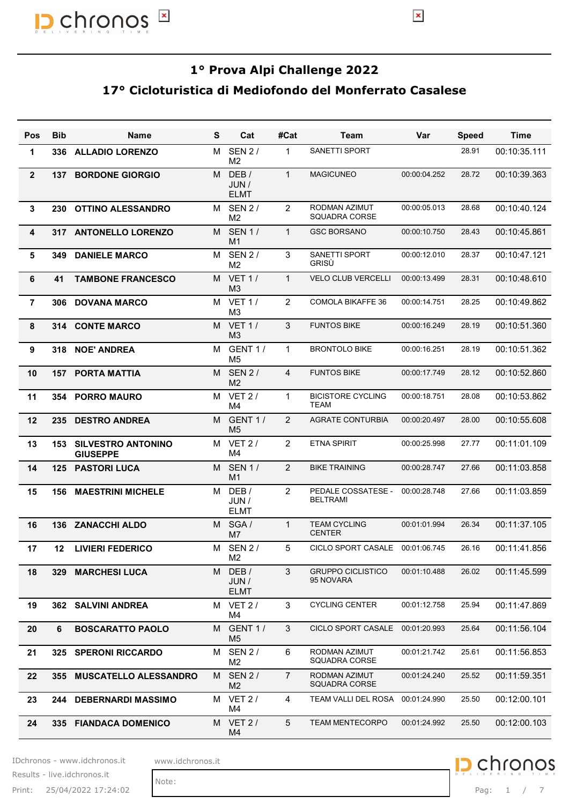

#### 17° Cicloturistica di Mediofondo del Monferrato Casalese

|                |            |                                                          |   |                                                  |                 |                                         | $\pmb{\times}$ |              |              |
|----------------|------------|----------------------------------------------------------|---|--------------------------------------------------|-----------------|-----------------------------------------|----------------|--------------|--------------|
|                |            | 17º Cicloturistica di Mediofondo del Monferrato Casalese |   |                                                  |                 | 1º Prova Alpi Challenge 2022            |                |              |              |
| Pos            | <b>Bib</b> | <b>Name</b>                                              | S | Cat                                              | #Cat            | <b>Team</b>                             | Var            | <b>Speed</b> | <b>Time</b>  |
| $\mathbf 1$    | 336        | <b>ALLADIO LORENZO</b>                                   |   | M SEN 2/<br>M <sub>2</sub>                       | $\overline{1}$  | <b>SANETTI SPORT</b>                    |                | 28.91        | 00:10:35.111 |
| $\overline{2}$ | 137        | <b>BORDONE GIORGIO</b>                                   |   | M DEB/<br>JUN /<br><b>ELMT</b>                   | $\overline{1}$  | <b>MAGICUNEO</b>                        | 00:00:04.252   | 28.72        | 00:10:39.363 |
| 3              | 230        | <b>OTTINO ALESSANDRO</b>                                 |   | M SEN 2/                                         | 2               | RODMAN AZIMUT                           | 00:00:05.013   | 28.68        | 00:10:40.124 |
| 4              | 317        | <b>ANTONELLO LORENZO</b>                                 |   | M <sub>2</sub><br>M SEN 1/                       | $\overline{1}$  | SQUADRA CORSE<br><b>GSC BORSANO</b>     | 00:00:10.750   | 28.43        | 00:10:45.861 |
| 5              | 349        | <b>DANIELE MARCO</b>                                     |   | M <sub>1</sub><br>M SEN 2/                       | 3               | <b>SANETTI SPORT</b>                    | 00:00:12.010   | 28.37        | 00:10:47.121 |
| 6              | 41         | <b>TAMBONE FRANCESCO</b>                                 |   | M <sub>2</sub><br>M VET 1/                       | $\overline{1}$  | GRISÙ<br><b>VELO CLUB VERCELLI</b>      | 00:00:13.499   | 28.31        | 00:10:48.610 |
| 7              | 306        | <b>DOVANA MARCO</b>                                      |   | M3<br>M VET 1/                                   | 2               | <b>COMOLA BIKAFFE 36</b>                | 00:00:14.751   | 28.25        | 00:10:49.862 |
| 8              |            | 314 CONTE MARCO                                          |   | M3<br>M VET 1/                                   | $\mathbf{3}$    | <b>FUNTOS BIKE</b>                      | 00:00:16.249   | 28.19        | 00:10:51.360 |
| 9              |            | 318 NOE' ANDREA                                          |   | M3<br>M GENT 1 /                                 | $\overline{1}$  | <b>BRONTOLO BIKE</b>                    | 00:00:16.251   | 28.19        | 00:10:51.362 |
| 10             | 157        | <b>PORTA MATTIA</b>                                      |   | M <sub>5</sub><br>M SEN 2/                       | $\overline{4}$  | <b>FUNTOS BIKE</b>                      | 00:00:17.749   | 28.12        | 00:10:52.860 |
| 11             | 354        | <b>PORRO MAURO</b>                                       |   | M <sub>2</sub><br>M VET 2/                       | $\overline{1}$  | <b>BICISTORE CYCLING</b><br><b>TEAM</b> | 00:00:18.751   | 28.08        | 00:10:53.862 |
| 12             | 235        | <b>DESTRO ANDREA</b>                                     |   | M4<br>M GENT 1/                                  | 2               | <b>AGRATE CONTURBIA</b>                 | 00:00:20.497   | 28.00        | 00:10:55.608 |
| 13             |            | <b>153 SILVESTRO ANTONINO</b>                            |   | M <sub>5</sub><br>M VET 2/                       | 2               | <b>ETNA SPIRIT</b>                      | 00:00:25.998   | 27.77        | 00:11:01.109 |
| 14             |            | <b>GIUSEPPE</b><br><b>125 PASTORI LUCA</b>               |   | M4<br>M SEN 1/                                   | 2               | <b>BIKE TRAINING</b>                    | 00:00:28.747   | 27.66        | 00:11:03.858 |
| 15             | 156        | <b>MAESTRINI MICHELE</b>                                 |   | M1<br>M DEB/<br>JUN /<br><b>ELMT</b>             | $\overline{2}$  | PEDALE COSSATESE -<br><b>BELTRAMI</b>   | 00:00:28.748   | 27.66        | 00:11:03.859 |
| 16             |            | 136 ZANACCHI ALDO                                        |   | M SGA/                                           | $\overline{1}$  | <b>TEAM CYCLING</b><br><b>CENTER</b>    | 00:01:01.994   | 26.34        | 00:11:37.105 |
| 17             | 12         | <b>LIVIERI FEDERICO</b>                                  |   | M7<br>M SEN 2/                                   | 5               | CICLO SPORT CASALE 00:01:06.745         |                | 26.16        | 00:11:41.856 |
| 18             | 329        | <b>MARCHESI LUCA</b>                                     |   | M <sub>2</sub><br>M DEB/<br>JUN /<br><b>ELMT</b> | $\mathbf{3}$    | <b>GRUPPO CICLISTICO</b><br>95 NOVARA   | 00:01:10.488   | 26.02        | 00:11:45.599 |
| 19             | 362        | <b>SALVINI ANDREA</b>                                    |   | M VET 2/<br>M4                                   | 3               | <b>CYCLING CENTER</b>                   | 00:01:12.758   | 25.94        | 00:11:47.869 |
| 20             | 6          | <b>BOSCARATTO PAOLO</b>                                  |   | M GENT 1/<br>M <sub>5</sub>                      | 3               | CICLO SPORT CASALE 00:01:20.993         |                | 25.64        | 00:11:56.104 |
| 21             | 325        | <b>SPERONI RICCARDO</b>                                  |   | M SEN 2/<br>M <sub>2</sub>                       | 6               | RODMAN AZIMUT<br>SQUADRA CORSE          | 00:01:21.742   | 25.61        | 00:11:56.853 |
| 22             |            | 355 MUSCATELLO ALESSANDRO                                |   | M SEN 2/<br>M <sub>2</sub>                       | 7               | RODMAN AZIMUT<br><b>SQUADRA CORSE</b>   | 00:01:24.240   | 25.52        | 00:11:59.351 |
| 23             |            | 244 DEBERNARDI MASSIMO                                   |   | M VET 2/<br>M4                                   | $\overline{4}$  | TEAM VALLI DEL ROSA                     | 00:01:24.990   | 25.50        | 00:12:00.101 |
| 24             |            | 335 FIANDACA DOMENICO                                    |   | M VET 2/<br>M4                                   | $5\phantom{.0}$ | TEAM MENTECORPO                         | 00:01:24.992   | 25.50        | 00:12:00.103 |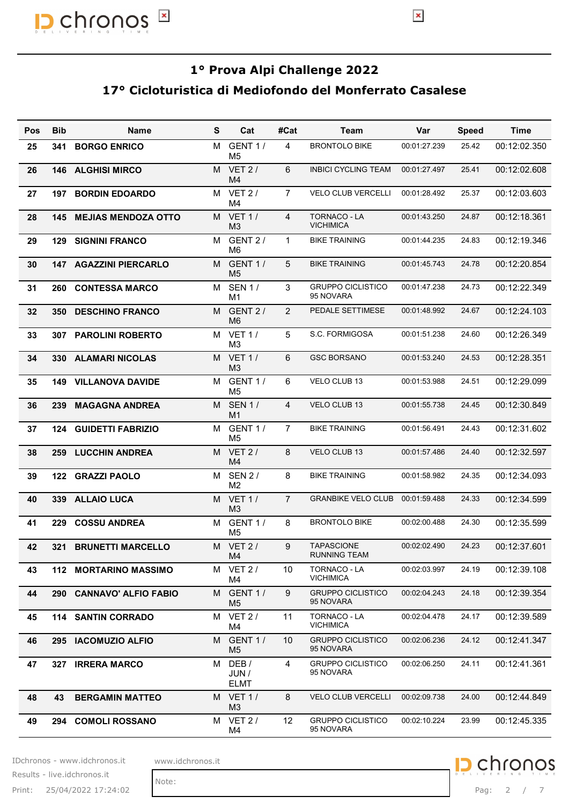

#### 17° Cicloturistica di Mediofondo del Monferrato Casalese

|            |            |                                                          |   |                                  |                |                                          | $\pmb{\times}$ |              |              |
|------------|------------|----------------------------------------------------------|---|----------------------------------|----------------|------------------------------------------|----------------|--------------|--------------|
|            |            | 17° Cicloturistica di Mediofondo del Monferrato Casalese |   |                                  |                | 1º Prova Alpi Challenge 2022             |                |              |              |
| <b>Pos</b> | <b>Bib</b> | <b>Name</b>                                              | S | Cat                              | #Cat           | <b>Team</b>                              | Var            | <b>Speed</b> | <b>Time</b>  |
| 25         | 341        | <b>BORGO ENRICO</b>                                      |   | M GENT 1/<br>M <sub>5</sub>      | $\overline{4}$ | <b>BRONTOLO BIKE</b>                     | 00:01:27.239   | 25.42        | 00:12:02.350 |
| 26         | 146        | <b>ALGHISI MIRCO</b>                                     |   | M VET 2/<br>M4                   | 6              | <b>INBICI CYCLING TEAM</b>               | 00:01:27.497   | 25.41        | 00:12:02.608 |
| 27         | 197        | <b>BORDIN EDOARDO</b>                                    |   | M VET 2/<br>M4                   | $\overline{7}$ | VELO CLUB VERCELLI                       | 00:01:28.492   | 25.37        | 00:12:03.603 |
| 28         | 145        | <b>MEJIAS MENDOZA OTTO</b>                               |   | M VET 1/<br>M3                   | $\overline{4}$ | <b>TORNACO - LA</b><br><b>VICHIMICA</b>  | 00:01:43.250   | 24.87        | 00:12:18.361 |
| 29         | 129        | <b>SIGNINI FRANCO</b>                                    |   | M GENT 2 /<br>M6                 | $\mathbf{1}$   | <b>BIKE TRAINING</b>                     | 00:01:44.235   | 24.83        | 00:12:19.346 |
| 30         | 147        | <b>AGAZZINI PIERCARLO</b>                                |   | M GENT 1/<br>M <sub>5</sub>      | 5              | <b>BIKE TRAINING</b>                     | 00:01:45.743   | 24.78        | 00:12:20.854 |
| 31         |            | 260 CONTESSA MARCO                                       |   | M SEN 1/                         | 3              | <b>GRUPPO CICLISTICO</b><br>95 NOVARA    | 00:01:47.238   | 24.73        | 00:12:22.349 |
| 32         | 350        | <b>DESCHINO FRANCO</b>                                   |   | M1<br>M GENT 2 /                 | 2              | PEDALE SETTIMESE                         | 00:01:48.992   | 24.67        | 00:12:24.103 |
| 33         |            | 307 PAROLINI ROBERTO                                     |   | M6<br>M VET 1/                   | 5              | S.C. FORMIGOSA                           | 00:01:51.238   | 24.60        | 00:12:26.349 |
| 34         |            | 330 ALAMARI NICOLAS                                      |   | M3<br>M VET 1/                   | 6              | <b>GSC BORSANO</b>                       | 00:01:53.240   | 24.53        | 00:12:28.351 |
| 35         |            | <b>149 VILLANOVA DAVIDE</b>                              |   | M3<br>M GENT 1 /                 | 6              | VELO CLUB 13                             | 00:01:53.988   | 24.51        | 00:12:29.099 |
| 36         |            | 239 MAGAGNA ANDREA                                       |   | M5<br>M SEN1/                    | $\overline{4}$ | VELO CLUB 13                             | 00:01:55.738   | 24.45        | 00:12:30.849 |
| 37         |            | <b>124 GUIDETTI FABRIZIO</b>                             |   | M1<br>M GENT 1 /                 | $\overline{7}$ | <b>BIKE TRAINING</b>                     | 00:01:56.491   | 24.43        | 00:12:31.602 |
| 38         |            | 259 LUCCHIN ANDREA                                       |   | M <sub>5</sub><br>M VET 2/       | 8              | VELO CLUB 13                             | 00:01:57.486   | 24.40        | 00:12:32.597 |
| 39         |            | 122 GRAZZI PAOLO                                         |   | M4<br>M SEN 2/<br>M <sub>2</sub> | 8              | <b>BIKE TRAINING</b>                     | 00:01:58.982   | 24.35        | 00:12:34.093 |
| 40         |            | 339 ALLAIO LUCA                                          |   | M VET 1/<br>M3                   | $\overline{7}$ | GRANBIKE VELO CLUB 00:01:59.488          |                | 24.33        | 00:12:34.599 |
| 41         |            | 229 COSSU ANDREA                                         |   | M GENT 1 /                       | 8              | <b>BRONTOLO BIKE</b>                     | 00:02:00.488   | 24.30        | 00:12:35.599 |
| 42         | 321        | <b>BRUNETTI MARCELLO</b>                                 |   | M5<br>M VET 2/                   | 9              | <b>TAPASCIONE</b><br><b>RUNNING TEAM</b> | 00:02:02.490   | 24.23        | 00:12:37.601 |
| 43         |            | 112 MORTARINO MASSIMO                                    |   | M4<br>M VET 2 /<br>M4            | 10             | TORNACO - LA<br><b>VICHIMICA</b>         | 00:02:03.997   | 24.19        | 00:12:39.108 |
| 44         |            | 290 CANNAVO' ALFIO FABIO                                 |   | M GENT 1 /<br>M <sub>5</sub>     | 9              | <b>GRUPPO CICLISTICO</b><br>95 NOVARA    | 00:02:04.243   | 24.18        | 00:12:39.354 |
| 45         |            | 114 SANTIN CORRADO                                       |   | M VET 2/<br>M4                   | 11             | TORNACO - LA<br><b>VICHIMICA</b>         | 00:02:04.478   | 24.17        | 00:12:39.589 |
| 46         |            | 295 IACOMUZIO ALFIO                                      |   | M GENT 1 /<br>M <sub>5</sub>     | 10             | <b>GRUPPO CICLISTICO</b><br>95 NOVARA    | 00:02:06.236   | 24.12        | 00:12:41.347 |
| 47         |            | 327 IRRERA MARCO                                         |   | M DEB/<br>JUN /<br><b>ELMT</b>   | 4              | <b>GRUPPO CICLISTICO</b><br>95 NOVARA    | 00:02:06.250   | 24.11        | 00:12:41.361 |
| 48         | 43         | <b>BERGAMIN MATTEO</b>                                   |   | M VET 1/<br>M3                   | 8              | <b>VELO CLUB VERCELLI</b>                | 00:02:09.738   | 24.00        | 00:12:44.849 |
| 49         |            | 294 COMOLI ROSSANO                                       |   | M VET 2/<br>M4                   | 12             | <b>GRUPPO CICLISTICO</b><br>95 NOVARA    | 00:02:10.224   | 23.99        | 00:12:45.335 |

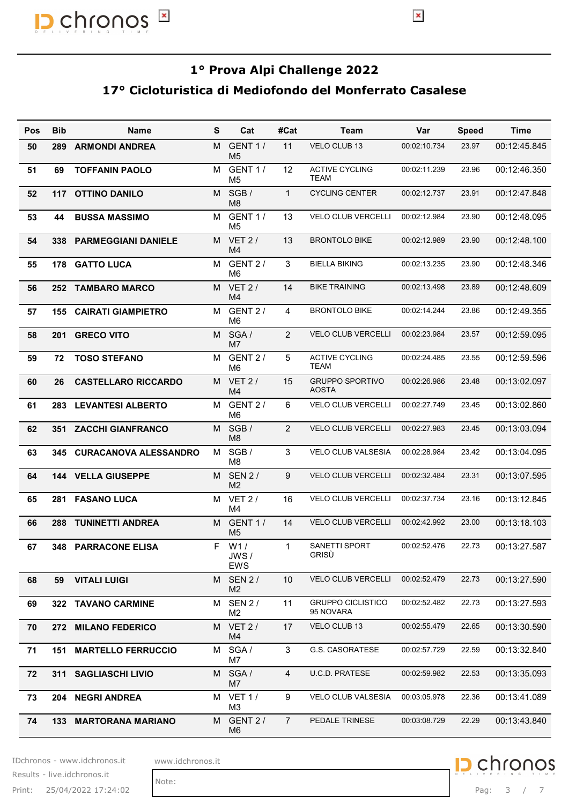

#### 17° Cicloturistica di Mediofondo del Monferrato Casalese

|     |            | 17° Cicloturistica di Mediofondo del Monferrato Casalese |   |                              |                | 1º Prova Alpi Challenge 2022          |              |              |              |
|-----|------------|----------------------------------------------------------|---|------------------------------|----------------|---------------------------------------|--------------|--------------|--------------|
| Pos | <b>Bib</b> | <b>Name</b>                                              | S | Cat                          | #Cat           | Team                                  | Var          | <b>Speed</b> | <b>Time</b>  |
| 50  | 289        | <b>ARMONDI ANDREA</b>                                    |   | M GENT 1/<br>M <sub>5</sub>  | 11             | VELO CLUB 13                          | 00:02:10.734 | 23.97        | 00:12:45.845 |
| 51  | 69         | <b>TOFFANIN PAOLO</b>                                    |   | M GENT 1/<br>M <sub>5</sub>  | 12             | <b>ACTIVE CYCLING</b><br>TEAM         | 00:02:11.239 | 23.96        | 00:12:46.350 |
| 52  | 117        | <b>OTTINO DANILO</b>                                     |   | M SGB/<br>M <sub>8</sub>     | $\overline{1}$ | <b>CYCLING CENTER</b>                 | 00:02:12.737 | 23.91        | 00:12:47.848 |
| 53  | 44         | <b>BUSSA MASSIMO</b>                                     |   | M GENT 1 /<br>M <sub>5</sub> | 13             | VELO CLUB VERCELLI                    | 00:02:12.984 | 23.90        | 00:12:48.095 |
| 54  | 338        | <b>PARMEGGIANI DANIELE</b>                               |   | M VET 2/<br>M4               | 13             | <b>BRONTOLO BIKE</b>                  | 00:02:12.989 | 23.90        | 00:12:48.100 |
| 55  | 178        | <b>GATTO LUCA</b>                                        |   | M GENT 2 /                   | 3              | <b>BIELLA BIKING</b>                  | 00:02:13.235 | 23.90        | 00:12:48.346 |
| 56  |            | 252 TAMBARO MARCO                                        |   | M6<br>M VET 2/               | 14             | <b>BIKE TRAINING</b>                  | 00:02:13.498 | 23.89        | 00:12:48.609 |
| 57  |            | <b>155 CAIRATI GIAMPIETRO</b>                            |   | M4<br>M GENT 2 /             | $\overline{4}$ | <b>BRONTOLO BIKE</b>                  | 00:02:14.244 | 23.86        | 00:12:49.355 |
| 58  | 201        | <b>GRECO VITO</b>                                        |   | M6<br>M SGA/                 | 2              | VELO CLUB VERCELLI                    | 00:02:23.984 | 23.57        | 00:12:59.095 |
| 59  |            | 72 TOSO STEFANO                                          |   | M7<br>M GENT 2 /             | 5              | <b>ACTIVE CYCLING</b>                 | 00:02:24.485 | 23.55        | 00:12:59.596 |
| 60  | 26         | <b>CASTELLARO RICCARDO</b>                               |   | M6<br>M VET 2/               | 15             | TEAM<br><b>GRUPPO SPORTIVO</b>        | 00:02:26.986 | 23.48        | 00:13:02.097 |
| 61  |            | 283 LEVANTESI ALBERTO                                    |   | M4<br>M GENT 2 /             | 6              | AOSTA<br>VELO CLUB VERCELLI           | 00:02:27.749 | 23.45        | 00:13:02.860 |
| 62  |            | 351 ZACCHI GIANFRANCO                                    |   | M6<br>M SGB/                 | $\overline{2}$ | VELO CLUB VERCELLI                    | 00:02:27.983 | 23.45        | 00:13:03.094 |
| 63  |            | 345 CURACANOVA ALESSANDRO                                |   | M8<br>M SGB/                 | 3              | VELO CLUB VALSESIA                    | 00:02:28.984 | 23.42        | 00:13:04.095 |
| 64  |            | <b>144 VELLA GIUSEPPE</b>                                |   | M8<br>M SEN 2/               | 9              | VELO CLUB VERCELLI                    | 00:02:32.484 | 23.31        | 00:13:07.595 |
| 65  |            | 281 FASANO LUCA                                          |   | M <sub>2</sub><br>M VET 2/   | 16             | VELO CLUB VERCELLI                    | 00:02:37.734 | 23.16        | 00:13:12.845 |
| 66  |            | 288 TUNINETTI ANDREA                                     |   | M4<br>M GENT 1/              | 14             | VELO CLUB VERCELLI                    | 00:02:42.992 | 23.00        | 00:13:18.103 |
| 67  |            | 348 PARRACONE ELISA                                      |   | M <sub>5</sub><br>F W1/      | $\mathbf{1}$   | SANETTI SPORT                         | 00:02:52.476 | 22.73        | 00:13:27.587 |
|     |            |                                                          |   | JWS/<br>EWS                  |                | GRISÙ                                 |              |              |              |
| 68  |            | 59 VITALI LUIGI                                          |   | M SEN 2/<br>M <sub>2</sub>   | 10             | <b>VELO CLUB VERCELLI</b>             | 00:02:52.479 | 22.73        | 00:13:27.590 |
| 69  |            | 322 TAVANO CARMINE                                       |   | M SEN 2/<br>M <sub>2</sub>   | 11             | <b>GRUPPO CICLISTICO</b><br>95 NOVARA | 00:02:52.482 | 22.73        | 00:13:27.593 |
| 70  |            | 272 MILANO FEDERICO                                      |   | M VET 2/<br>M4               | 17             | VELO CLUB 13                          | 00:02:55.479 | 22.65        | 00:13:30.590 |
| 71  |            | <b>151 MARTELLO FERRUCCIO</b>                            |   | M SGA/<br>M7                 | 3              | <b>G.S. CASORATESE</b>                | 00:02:57.729 | 22.59        | 00:13:32.840 |
| 72  |            | 311 SAGLIASCHI LIVIO                                     |   | M SGA/<br>M7                 | $\overline{4}$ | U.C.D. PRATESE                        | 00:02:59.982 | 22.53        | 00:13:35.093 |
| 73  |            | 204 NEGRI ANDREA                                         |   | M VET 1/<br>ΜЗ               | 9              | VELO CLUB VALSESIA                    | 00:03:05.978 | 22.36        | 00:13:41.089 |
| 74  |            | 133 MARTORANA MARIANO                                    |   | M GENT 2 /<br>M <sub>6</sub> | $\overline{7}$ | PEDALE TRINESE                        | 00:03:08.729 | 22.29        | 00:13:43.840 |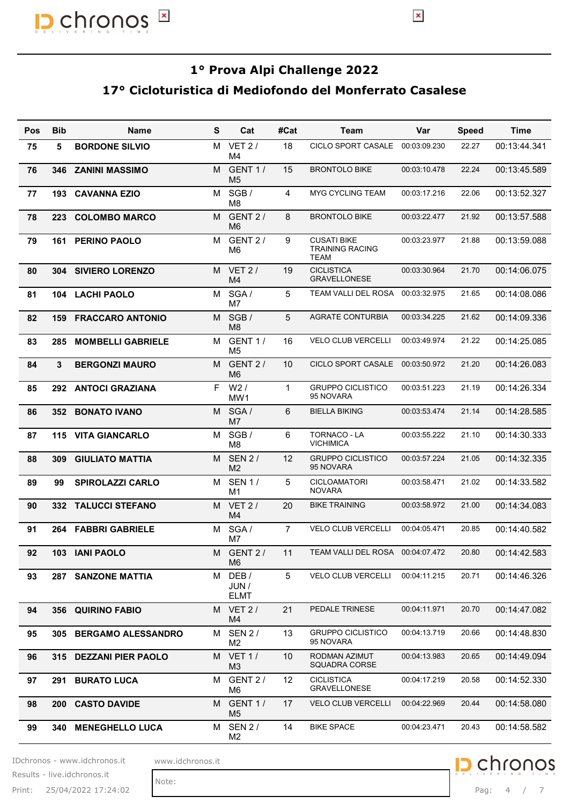

#### 17° Cicloturistica di Mediofondo del Monferrato Casalese

|            |            | $\pmb{\times}$<br>chronos                                |   |                                |                |                                              | $\pmb{\times}$ |              |                  |
|------------|------------|----------------------------------------------------------|---|--------------------------------|----------------|----------------------------------------------|----------------|--------------|------------------|
|            |            | 17° Cicloturistica di Mediofondo del Monferrato Casalese |   |                                |                | 1º Prova Alpi Challenge 2022                 |                |              |                  |
| <b>Pos</b> | <b>Bib</b> | <b>Name</b>                                              | S | Cat                            | #Cat           | <b>Team</b>                                  | Var            | <b>Speed</b> | <b>Time</b>      |
| 75         | 5          | <b>BORDONE SILVIO</b>                                    |   | M VET 2/<br>M4                 | 18             | CICLO SPORT CASALE 00:03:09.230              |                | 22.27        | 00:13:44.341     |
| 76         | 346        | <b>ZANINI MASSIMO</b>                                    |   | M GENT 1/<br>M <sub>5</sub>    | 15             | <b>BRONTOLO BIKE</b>                         | 00:03:10.478   | 22.24        | 00:13:45.589     |
| 77         | 193        | <b>CAVANNA EZIO</b>                                      |   | M SGB/<br>M <sub>8</sub>       | $\overline{4}$ | MYG CYCLING TEAM                             | 00:03:17.216   | 22.06        | 00:13:52.327     |
| 78         | 223        | <b>COLOMBO MARCO</b>                                     |   | M GENT 2 /<br>M <sub>6</sub>   | 8              | <b>BRONTOLO BIKE</b>                         | 00:03:22.477   | 21.92        | 00:13:57.588     |
| 79         | 161        | PERINO PAOLO                                             |   | M GENT 2 /<br>M6               | 9              | <b>CUSATI BIKE</b><br><b>TRAINING RACING</b> | 00:03:23.977   | 21.88        | 00:13:59.088     |
| 80         | 304        | <b>SIVIERO LORENZO</b>                                   |   | M VET 2/<br>M <sub>4</sub>     | 19             | TEAM<br><b>CICLISTICA</b><br>GRAVELLONESE    | 00:03:30.964   | 21.70        | 00:14:06.075     |
| 81         | 104        | <b>LACHI PAOLO</b>                                       |   | M SGA/<br>M7                   | 5              | TEAM VALLI DEL ROSA                          | 00:03:32.975   | 21.65        | 00:14:08.086     |
| 82         |            | <b>159 FRACCARO ANTONIO</b>                              |   | M SGB/<br>M8                   | 5              | <b>AGRATE CONTURBIA</b>                      | 00:03:34.225   | 21.62        | 00:14:09.336     |
| 83         | 285        | <b>MOMBELLI GABRIELE</b>                                 |   | M GENT 1/<br>M <sub>5</sub>    | 16             | <b>VELO CLUB VERCELLI</b>                    | 00:03:49.974   | 21.22        | 00:14:25.085     |
| 84         | 3          | <b>BERGONZI MAURO</b>                                    |   | M GENT 2 /<br>M <sub>6</sub>   | 10             | <b>CICLO SPORT CASALE</b>                    | 00:03:50.972   | 21.20        | 00:14:26.083     |
| 85         |            | 292 ANTOCI GRAZIANA                                      |   | $F$ W2/<br>MW1                 | $\overline{1}$ | <b>GRUPPO CICLISTICO</b><br>95 NOVARA        | 00:03:51.223   | 21.19        | 00:14:26.334     |
| 86         |            | 352 BONATO IVANO                                         |   | M SGA/<br>M7                   | 6              | <b>BIELLA BIKING</b>                         | 00:03:53.474   | 21.14        | 00:14:28.585     |
| 87         |            | 115 VITA GIANCARLO                                       |   | M SGB/<br>M <sub>8</sub>       | 6              | <b>TORNACO - LA</b><br><b>VICHIMICA</b>      | 00:03:55.222   | 21.10        | 00:14:30.333     |
| 88         | 309        | <b>GIULIATO MATTIA</b>                                   |   | M SEN 2/<br>M <sub>2</sub>     | 12             | <b>GRUPPO CICLISTICO</b><br>95 NOVARA        | 00:03:57.224   | 21.05        | 00:14:32.335     |
| 89         | 99         | <b>SPIROLAZZI CARLO</b>                                  |   | M SEN 1/<br>M1                 | 5              | CICLOAMATORI<br><b>NOVARA</b>                | 00:03:58.471   | 21.02        | 00:14:33.582     |
| 90         | 332        | <b>TALUCCI STEFANO</b>                                   |   | M VET 2/<br>M <sub>4</sub>     | 20             | <b>BIKE TRAINING</b>                         | 00:03:58.972   | 21.00        | 00:14:34.083     |
| 91         | 264        | <b>FABBRI GABRIELE</b>                                   |   | M SGA/<br>M7                   | $\overline{7}$ | VELO CLUB VERCELLI                           | 00:04:05.471   | 20.85        | 00:14:40.582     |
| 92         | 103        | <b>IANI PAOLO</b>                                        |   | M GENT 2 /<br>M6               | 11             | TEAM VALLI DEL ROSA  00:04:07.472            |                | 20.80        | 00:14:42.583     |
| 93         | 287        | <b>SANZONE MATTIA</b>                                    |   | M DEB/<br>JUN /<br><b>ELMT</b> | 5              | VELO CLUB VERCELLI                           | 00:04:11.215   | 20.71        | 00:14:46.326     |
| 94         | 356        | <b>QUIRINO FABIO</b>                                     |   | M VET 2/<br>M4                 | 21             | PEDALE TRINESE                               | 00:04:11.971   | 20.70        | 00:14:47.082     |
| 95         | 305        | <b>BERGAMO ALESSANDRO</b>                                |   | M SEN 2/<br>M <sub>2</sub>     | 13             | <b>GRUPPO CICLISTICO</b><br>95 NOVARA        | 00:04:13.719   | 20.66        | 00:14:48.830     |
| 96         | 315        | <b>DEZZANI PIER PAOLO</b>                                |   | M VET 1/<br>M <sub>3</sub>     | 10             | RODMAN AZIMUT<br>SQUADRA CORSE               | 00:04:13.983   | 20.65        | 00:14:49.094     |
| 97         | 291        | <b>BURATO LUCA</b>                                       |   | M GENT 2 /<br>M <sub>6</sub>   | 12             | <b>CICLISTICA</b><br><b>GRAVELLONESE</b>     | 00:04:17.219   | 20.58        | 00:14:52.330     |
| 98         | 200        | <b>CASTO DAVIDE</b>                                      |   | M GENT 1/<br>M <sub>5</sub>    | 17             | <b>VELO CLUB VERCELLI</b>                    | 00:04:22.969   | 20.44        | 00:14:58.080     |
| 99         | 340        | <b>MENEGHELLO LUCA</b>                                   |   | M SEN 2/<br>M <sub>2</sub>     | 14             | <b>BIKE SPACE</b>                            | 00:04:23.471   | 20.43        | 00:14:58.582     |
|            |            | IDchronos - www.idchronos.it<br>www.idchronos.it         |   |                                |                |                                              |                |              | <b>D</b> chronos |
|            |            | Results - live.idchronos.it<br>Note:                     |   |                                |                |                                              |                |              |                  |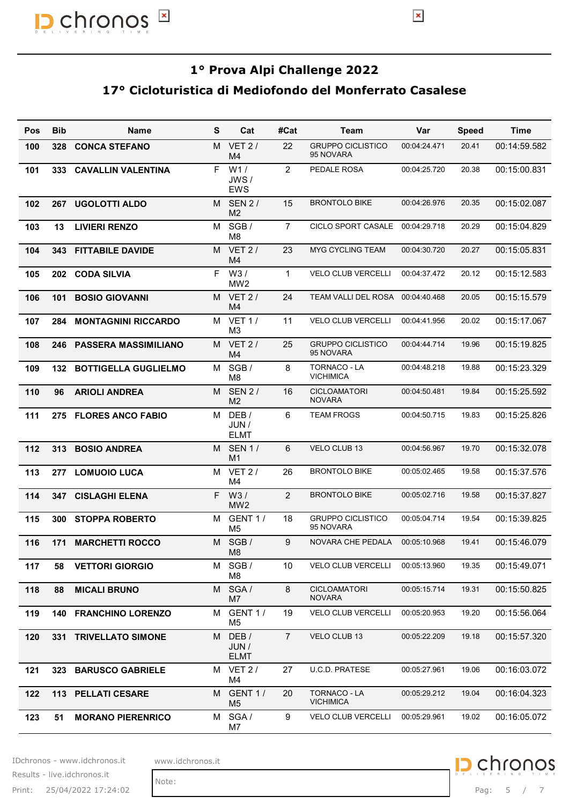

### 17° Cicloturistica di Mediofondo del Monferrato Casalese

|            |            | 17º Cicloturistica di Mediofondo del Monferrato Casalese |   |                                           |                | 1º Prova Alpi Challenge 2022          |              |              |              |
|------------|------------|----------------------------------------------------------|---|-------------------------------------------|----------------|---------------------------------------|--------------|--------------|--------------|
| <b>Pos</b> | <b>Bib</b> | <b>Name</b>                                              | S | Cat                                       | #Cat           | Team                                  | Var          | <b>Speed</b> | <b>Time</b>  |
| 100        | 328        | <b>CONCA STEFANO</b>                                     |   | M VET 2/<br>M4                            | 22             | <b>GRUPPO CICLISTICO</b><br>95 NOVARA | 00:04:24.471 | 20.41        | 00:14:59.582 |
| 101        |            | 333 CAVALLIN VALENTINA                                   |   | F W1/<br>JWS/<br>EWS                      | 2              | PEDALE ROSA                           | 00:04:25.720 | 20.38        | 00:15:00.831 |
| 102        | 267        | <b>UGOLOTTI ALDO</b>                                     |   | M SEN 2/<br>M <sub>2</sub>                | 15             | <b>BRONTOLO BIKE</b>                  | 00:04:26.976 | 20.35        | 00:15:02.087 |
| 103        | 13         | <b>LIVIERI RENZO</b>                                     |   | M SGB/<br>M8                              | $\overline{7}$ | CICLO SPORT CASALE 00:04:29.718       |              | 20.29        | 00:15:04.829 |
| 104        | 343        | <b>FITTABILE DAVIDE</b>                                  |   | M VET 2/                                  | 23             | <b>MYG CYCLING TEAM</b>               | 00:04:30.720 | 20.27        | 00:15:05.831 |
| 105        | 202        | <b>CODA SILVIA</b>                                       |   | M4<br>F W3/                               | $\mathbf{1}$   | VELO CLUB VERCELLI                    | 00:04:37.472 | 20.12        | 00:15:12.583 |
| 106        | 101        | <b>BOSIO GIOVANNI</b>                                    |   | MW <sub>2</sub><br>M VET 2/               | 24             | TEAM VALLI DEL ROSA                   | 00:04:40.468 | 20.05        | 00:15:15.579 |
| 107        | 284        | <b>MONTAGNINI RICCARDO</b>                               |   | M4<br>M VET 1/                            | 11             | VELO CLUB VERCELLI                    | 00:04:41.956 | 20.02        | 00:15:17.067 |
| 108        |            | 246 PASSERA MASSIMILIANO                                 |   | M3<br>M VET 2/<br>M4                      | 25             | <b>GRUPPO CICLISTICO</b><br>95 NOVARA | 00:04:44.714 | 19.96        | 00:15:19.825 |
| 109        |            | 132 BOTTIGELLA GUGLIELMO                                 |   | M SGB/                                    | 8              | TORNACO - LA<br><b>VICHIMICA</b>      | 00:04:48.218 | 19.88        | 00:15:23.329 |
| 110        | 96         | <b>ARIOLI ANDREA</b>                                     |   | M8<br>M SEN 2/                            | 16             | <b>CICLOAMATORI</b>                   | 00:04:50.481 | 19.84        | 00:15:25.592 |
| 111        |            | 275 FLORES ANCO FABIO                                    |   | M <sub>2</sub><br>M DEB/<br>JUN /         | 6              | <b>NOVARA</b><br><b>TEAM FROGS</b>    | 00:04:50.715 | 19.83        | 00:15:25.826 |
| 112        |            | 313 BOSIO ANDREA                                         |   | <b>ELMT</b><br>M SEN 1/<br>M <sub>1</sub> | 6              | VELO CLUB 13                          | 00:04:56.967 | 19.70        | 00:15:32.078 |
| 113        |            | 277 LOMUOIO LUCA                                         |   | M VET 2/<br>M4                            | 26             | <b>BRONTOLO BIKE</b>                  | 00:05:02.465 | 19.58        | 00:15:37.576 |
| 114        |            | 347 CISLAGHI ELENA                                       |   | F W3/                                     | 2              | <b>BRONTOLO BIKE</b>                  | 00:05:02.716 | 19.58        | 00:15:37.827 |
| 115        |            | 300 STOPPA ROBERTO                                       |   | MW <sub>2</sub><br>M GENT 1 /             | 18             | <b>GRUPPO CICLISTICO</b><br>95 NOVARA | 00:05:04.714 | 19.54        | 00:15:39.825 |
| 116        |            | <b>171 MARCHETTI ROCCO</b>                               |   | M5<br>M SGB/                              | 9              | NOVARA CHE PEDALA                     | 00:05:10.968 | 19.41        | 00:15:46.079 |
| 117        | 58         | <b>VETTORI GIORGIO</b>                                   |   | M8<br>M SGB/                              | 10             | VELO CLUB VERCELLI                    | 00:05:13.960 | 19.35        | 00:15:49.071 |
| 118        | 88         | <b>MICALI BRUNO</b>                                      |   | M8<br>M SGA/                              | 8              | CICLOAMATORI<br><b>NOVARA</b>         | 00:05:15.714 | 19.31        | 00:15:50.825 |
| 119        |            | <b>140 FRANCHINO LORENZO</b>                             |   | M7<br>M GENT 1 /                          | 19             | VELO CLUB VERCELLI                    | 00:05:20.953 | 19.20        | 00:15:56.064 |
| 120        |            | 331 TRIVELLATO SIMONE                                    |   | M <sub>5</sub><br>M DEB/<br>JUN /         | $\overline{7}$ | VELO CLUB 13                          | 00:05:22.209 | 19.18        | 00:15:57.320 |
| 121        |            | 323 BARUSCO GABRIELE                                     |   | <b>ELMT</b><br>M VET 2/                   | 27             | U.C.D. PRATESE                        | 00:05:27.961 | 19.06        | 00:16:03.072 |
| 122        |            | 113 PELLATI CESARE                                       |   | M4<br>M GENT 1 /                          | 20             | TORNACO - LA<br><b>VICHIMICA</b>      | 00:05:29.212 | 19.04        | 00:16:04.323 |
| 123        | 51         | <b>MORANO PIERENRICO</b>                                 |   | M <sub>5</sub><br>M SGA/                  | 9              | VELO CLUB VERCELLI                    | 00:05:29.961 | 19.02        | 00:16:05.072 |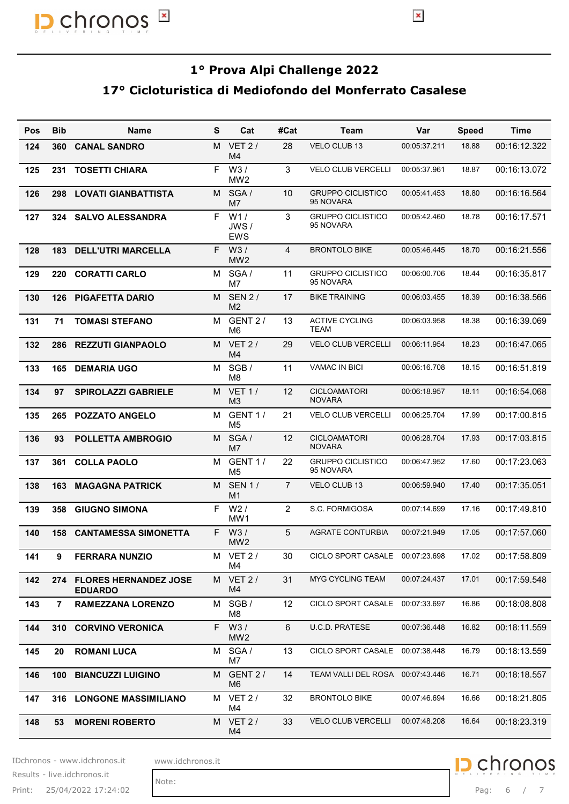

#### 17° Cicloturistica di Mediofondo del Monferrato Casalese

|            |                | 17º Cicloturistica di Mediofondo del Monferrato Casalese |   |                              |                   | 1º Prova Alpi Challenge 2022          |              |              |              |
|------------|----------------|----------------------------------------------------------|---|------------------------------|-------------------|---------------------------------------|--------------|--------------|--------------|
| <b>Pos</b> | <b>Bib</b>     | <b>Name</b>                                              | S | Cat                          | #Cat              | <b>Team</b>                           | Var          | <b>Speed</b> | <b>Time</b>  |
| 124        | 360            | <b>CANAL SANDRO</b>                                      |   | M VET 2/<br>M4               | 28                | VELO CLUB 13                          | 00:05:37.211 | 18.88        | 00:16:12.322 |
| 125        | 231            | <b>TOSETTI CHIARA</b>                                    |   | $F$ W3/<br>MW <sub>2</sub>   | 3                 | VELO CLUB VERCELLI                    | 00:05:37.961 | 18.87        | 00:16:13.072 |
| 126        | 298            | <b>LOVATI GIANBATTISTA</b>                               |   | M SGA/<br>M7                 | 10                | <b>GRUPPO CICLISTICO</b><br>95 NOVARA | 00:05:41.453 | 18.80        | 00:16:16.564 |
| 127        | 324            | <b>SALVO ALESSANDRA</b>                                  |   | F W1/<br>JWS/                | 3                 | <b>GRUPPO CICLISTICO</b><br>95 NOVARA | 00:05:42.460 | 18.78        | 00:16:17.571 |
| 128        | 183            | <b>DELL'UTRI MARCELLA</b>                                |   | <b>EWS</b><br>$F$ W3/        | 4                 | <b>BRONTOLO BIKE</b>                  | 00:05:46.445 | 18.70        | 00:16:21.556 |
| 129        | 220            | <b>CORATTI CARLO</b>                                     |   | MW <sub>2</sub><br>M SGA/    | 11                | <b>GRUPPO CICLISTICO</b>              | 00:06:00.706 | 18.44        | 00:16:35.817 |
| 130        | 126            | <b>PIGAFETTA DARIO</b>                                   |   | M7<br>M SEN 2/               | 17                | 95 NOVARA<br><b>BIKE TRAINING</b>     | 00:06:03.455 | 18.39        | 00:16:38.566 |
| 131        | 71             | <b>TOMASI STEFANO</b>                                    |   | M <sub>2</sub><br>M GENT 2 / | 13                | <b>ACTIVE CYCLING</b>                 | 00:06:03.958 | 18.38        | 00:16:39.069 |
| 132        |                | 286 REZZUTI GIANPAOLO                                    |   | M6<br>M VET 2/               | 29                | TEAM<br><b>VELO CLUB VERCELLI</b>     | 00:06:11.954 | 18.23        | 00:16:47.065 |
| 133        |                | 165 DEMARIA UGO                                          |   | M4<br>M SGB/                 | 11                | <b>VAMAC IN BICI</b>                  | 00:06:16.708 | 18.15        | 00:16:51.819 |
|            |                |                                                          |   | M8<br>M VET 1/               | $12 \overline{ }$ | <b>CICLOAMATORI</b>                   | 00:06:18.957 | 18.11        | 00:16:54.068 |
| 134        | 97             | <b>SPIROLAZZI GABRIELE</b>                               |   | M <sub>3</sub><br>M GENT 1 / | 21                | <b>NOVARA</b>                         | 00:06:25.704 |              |              |
| 135        | 265            | <b>POZZATO ANGELO</b>                                    |   | M5                           |                   | VELO CLUB VERCELLI                    |              | 17.99        | 00:17:00.815 |
| 136        | 93             | <b>POLLETTA AMBROGIO</b>                                 |   | M SGA/<br>M7                 | 12                | <b>CICLOAMATORI</b><br><b>NOVARA</b>  | 00:06:28.704 | 17.93        | 00:17:03.815 |
| 137        | 361            | <b>COLLA PAOLO</b>                                       |   | M GENT 1/<br>M <sub>5</sub>  | 22                | <b>GRUPPO CICLISTICO</b><br>95 NOVARA | 00:06:47.952 | 17.60        | 00:17:23.063 |
| 138        |                | <b>163 MAGAGNA PATRICK</b>                               |   | M SEN 1/<br>M <sub>1</sub>   | $\overline{7}$    | VELO CLUB 13                          | 00:06:59.940 | 17.40        | 00:17:35.051 |
| 139        | 358            | <b>GIUGNO SIMONA</b>                                     |   | F W2/<br>MW <sub>1</sub>     | 2                 | S.C. FORMIGOSA                        | 00:07:14.699 | 17.16        | 00:17:49.810 |
| 140        | 158            | <b>CANTAMESSA SIMONETTA</b>                              |   | F W3/<br>MW <sub>2</sub>     | 5                 | <b>AGRATE CONTURBIA</b>               | 00:07:21.949 | 17.05        | 00:17:57.060 |
| 141        | 9              | <b>FERRARA NUNZIO</b>                                    |   | M VET 2/<br>M4               | 30                | CICLO SPORT CASALE 00:07:23.698       |              | 17.02        | 00:17:58.809 |
| 142        |                | 274 FLORES HERNANDEZ JOSE<br><b>EDUARDO</b>              |   | M VET 2/<br>M4               | 31                | <b>MYG CYCLING TEAM</b>               | 00:07:24.437 | 17.01        | 00:17:59.548 |
| 143        | $\overline{7}$ | <b>RAMEZZANA LORENZO</b>                                 |   | M SGB/<br>M8                 | 12                | CICLO SPORT CASALE 00:07:33.697       |              | 16.86        | 00:18:08.808 |
| 144        |                | 310 CORVINO VERONICA                                     |   | F W3/<br>MW <sub>2</sub>     | 6                 | <b>U.C.D. PRATESE</b>                 | 00:07:36.448 | 16.82        | 00:18:11.559 |
| 145        | 20             | <b>ROMANI LUCA</b>                                       |   | M SGA/<br>M7                 | 13                | CICLO SPORT CASALE 00:07:38.448       |              | 16.79        | 00:18:13.559 |
| 146        | 100            | <b>BIANCUZZI LUIGINO</b>                                 |   | M GENT 2 /<br>M <sub>6</sub> | 14                | TEAM VALLI DEL ROSA 00:07:43.446      |              | 16.71        | 00:18:18.557 |
| 147        |                | 316 LONGONE MASSIMILIANO                                 |   | M VET 2/<br>M4               | 32                | <b>BRONTOLO BIKE</b>                  | 00:07:46.694 | 16.66        | 00:18:21.805 |
| 148        | 53             | <b>MORENI ROBERTO</b>                                    |   | M VET 2/<br>M4               | 33                | <b>VELO CLUB VERCELLI</b>             | 00:07:48.208 | 16.64        | 00:18:23.319 |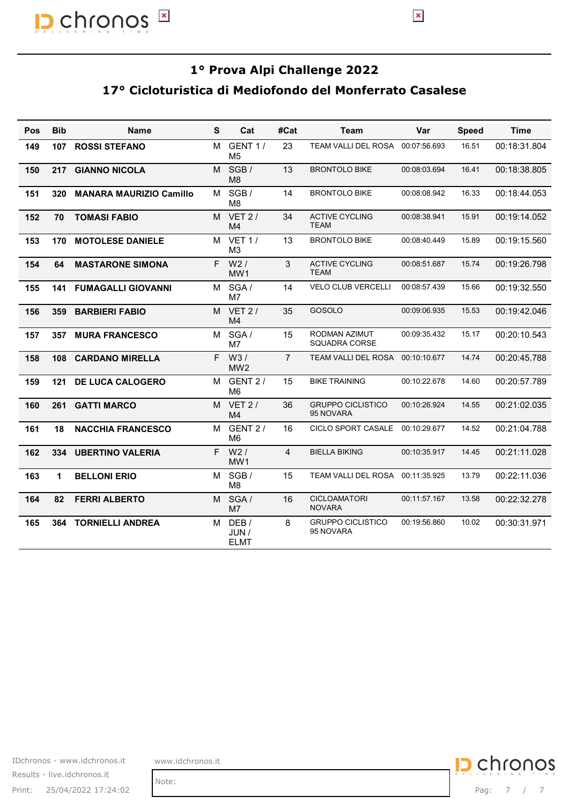

#### 17° Cicloturistica di Mediofondo del Monferrato Casalese

| 1º Prova Alpi Challenge 2022<br>17º Cicloturistica di Mediofondo del Monferrato Casalese<br><b>Bib</b><br>S<br>Cat<br>#Cat<br><b>Time</b><br><b>Name</b><br><b>Team</b><br>Var<br><b>Speed</b><br>GENT 1/<br>М<br>23<br>TEAM VALLI DEL ROSA 00:07:56.693<br><b>ROSSI STEFANO</b><br>16.51<br>107<br>149<br>M <sub>5</sub><br>M SGB/<br><b>BRONTOLO BIKE</b><br>13<br>00:08:03.694<br>16.41<br>217<br><b>GIANNO NICOLA</b><br>150<br>M8<br>M SGB/<br>14<br><b>BRONTOLO BIKE</b><br>00:08:08.942<br>16.33<br>320 MANARA MAURIZIO Camillo<br>151<br>M <sub>8</sub><br>M VET 2/<br>34<br><b>ACTIVE CYCLING</b><br>15.91<br>152<br>70<br><b>TOMASI FABIO</b><br>00:08:38.941<br><b>TEAM</b><br>M4<br>M VET 1/<br><b>BRONTOLO BIKE</b><br>15.89<br>170 MOTOLESE DANIELE<br>13<br>00:08:40.449<br>153<br>M <sub>3</sub><br>$F$ W2/<br>3<br><b>ACTIVE CYCLING</b><br><b>MASTARONE SIMONA</b><br>00:08:51.687<br>15.74<br>154<br>64<br>TEAM<br>MW1<br>M SGA/<br>VELO CLUB VERCELLI<br>00:08:57.439<br>15.66<br>155<br>141<br><b>FUMAGALLI GIOVANNI</b><br>14<br>M7<br>M VET 2/<br>359 BARBIERI FABIO<br>35<br>GOSOLO<br>00:09:06.935<br>15.53<br>156<br>M4<br>M SGA/<br>RODMAN AZIMUT<br>357 MURA FRANCESCO<br>15<br>00:09:35.432<br>15.17<br>157<br>SQUADRA CORSE<br>M7<br>F W3/<br>$\overline{7}$<br>108 CARDANO MIRELLA<br>TEAM VALLI DEL ROSA 00:10:10.677<br>14.74<br>MW <sub>2</sub><br>M GENT 2 /<br><b>BIKE TRAINING</b><br>15<br>00:10:22.678<br>14.60<br>121 DE LUCA CALOGERO<br>M6<br>M VET 2/<br><b>GRUPPO CICLISTICO</b><br>00:10:26.924<br>261 GATTI MARCO<br>36<br>14.55<br>95 NOVARA<br>M4<br>M GENT 2 /<br>CICLO SPORT CASALE 00:10:29.677<br>18<br><b>NACCHIA FRANCESCO</b><br>16<br>14.52<br>M6<br>F W2/<br>4<br><b>BIELLA BIKING</b><br>334 UBERTINO VALERIA<br>00:10:35.917<br>14.45<br>MW1<br>M SGB/<br><b>BELLONI ERIO</b><br>15<br>TEAM VALLI DEL ROSA 00:11:35.925<br>13.79<br>00:22:11.036<br>1<br>M8<br>M SGA/<br>CICLOAMATORI<br>00:11:57.167<br>16<br>13.58<br>00:22:32.278<br>82<br><b>FERRI ALBERTO</b><br><b>NOVARA</b><br>M7<br><b>TORNIELLI ANDREA</b><br>M DEB/<br>8<br><b>GRUPPO CICLISTICO</b><br>10.02<br>00:30:31.971<br>364<br>00:19:56.860<br>95 NOVARA<br>JUN /<br><b>ELMT</b><br><b>D</b> chronos<br>www.idchronos.it<br>Note: |     | $\pmb{\times}$<br>chrono |  |  | $\pmb{\times}$ |              |
|------------------------------------------------------------------------------------------------------------------------------------------------------------------------------------------------------------------------------------------------------------------------------------------------------------------------------------------------------------------------------------------------------------------------------------------------------------------------------------------------------------------------------------------------------------------------------------------------------------------------------------------------------------------------------------------------------------------------------------------------------------------------------------------------------------------------------------------------------------------------------------------------------------------------------------------------------------------------------------------------------------------------------------------------------------------------------------------------------------------------------------------------------------------------------------------------------------------------------------------------------------------------------------------------------------------------------------------------------------------------------------------------------------------------------------------------------------------------------------------------------------------------------------------------------------------------------------------------------------------------------------------------------------------------------------------------------------------------------------------------------------------------------------------------------------------------------------------------------------------------------------------------------------------------------------------------------------------------------------------------------------------------------------------------------------------------------------------------------------------------------------------------------------------------------------------------------------------------------------------------------------------|-----|--------------------------|--|--|----------------|--------------|
|                                                                                                                                                                                                                                                                                                                                                                                                                                                                                                                                                                                                                                                                                                                                                                                                                                                                                                                                                                                                                                                                                                                                                                                                                                                                                                                                                                                                                                                                                                                                                                                                                                                                                                                                                                                                                                                                                                                                                                                                                                                                                                                                                                                                                                                                  |     |                          |  |  |                |              |
| 158<br>159<br>160<br>161<br>162<br>163<br>164<br>165                                                                                                                                                                                                                                                                                                                                                                                                                                                                                                                                                                                                                                                                                                                                                                                                                                                                                                                                                                                                                                                                                                                                                                                                                                                                                                                                                                                                                                                                                                                                                                                                                                                                                                                                                                                                                                                                                                                                                                                                                                                                                                                                                                                                             | Pos |                          |  |  |                |              |
|                                                                                                                                                                                                                                                                                                                                                                                                                                                                                                                                                                                                                                                                                                                                                                                                                                                                                                                                                                                                                                                                                                                                                                                                                                                                                                                                                                                                                                                                                                                                                                                                                                                                                                                                                                                                                                                                                                                                                                                                                                                                                                                                                                                                                                                                  |     |                          |  |  |                | 00:18:31.804 |
|                                                                                                                                                                                                                                                                                                                                                                                                                                                                                                                                                                                                                                                                                                                                                                                                                                                                                                                                                                                                                                                                                                                                                                                                                                                                                                                                                                                                                                                                                                                                                                                                                                                                                                                                                                                                                                                                                                                                                                                                                                                                                                                                                                                                                                                                  |     |                          |  |  |                | 00:18:38.805 |
|                                                                                                                                                                                                                                                                                                                                                                                                                                                                                                                                                                                                                                                                                                                                                                                                                                                                                                                                                                                                                                                                                                                                                                                                                                                                                                                                                                                                                                                                                                                                                                                                                                                                                                                                                                                                                                                                                                                                                                                                                                                                                                                                                                                                                                                                  |     |                          |  |  |                | 00:18:44.053 |
|                                                                                                                                                                                                                                                                                                                                                                                                                                                                                                                                                                                                                                                                                                                                                                                                                                                                                                                                                                                                                                                                                                                                                                                                                                                                                                                                                                                                                                                                                                                                                                                                                                                                                                                                                                                                                                                                                                                                                                                                                                                                                                                                                                                                                                                                  |     |                          |  |  |                | 00:19:14.052 |
|                                                                                                                                                                                                                                                                                                                                                                                                                                                                                                                                                                                                                                                                                                                                                                                                                                                                                                                                                                                                                                                                                                                                                                                                                                                                                                                                                                                                                                                                                                                                                                                                                                                                                                                                                                                                                                                                                                                                                                                                                                                                                                                                                                                                                                                                  |     |                          |  |  |                | 00:19:15.560 |
|                                                                                                                                                                                                                                                                                                                                                                                                                                                                                                                                                                                                                                                                                                                                                                                                                                                                                                                                                                                                                                                                                                                                                                                                                                                                                                                                                                                                                                                                                                                                                                                                                                                                                                                                                                                                                                                                                                                                                                                                                                                                                                                                                                                                                                                                  |     |                          |  |  |                | 00:19:26.798 |
|                                                                                                                                                                                                                                                                                                                                                                                                                                                                                                                                                                                                                                                                                                                                                                                                                                                                                                                                                                                                                                                                                                                                                                                                                                                                                                                                                                                                                                                                                                                                                                                                                                                                                                                                                                                                                                                                                                                                                                                                                                                                                                                                                                                                                                                                  |     |                          |  |  |                | 00:19:32.550 |
|                                                                                                                                                                                                                                                                                                                                                                                                                                                                                                                                                                                                                                                                                                                                                                                                                                                                                                                                                                                                                                                                                                                                                                                                                                                                                                                                                                                                                                                                                                                                                                                                                                                                                                                                                                                                                                                                                                                                                                                                                                                                                                                                                                                                                                                                  |     |                          |  |  |                | 00:19:42.046 |
| IDchronos - www.idchronos.it                                                                                                                                                                                                                                                                                                                                                                                                                                                                                                                                                                                                                                                                                                                                                                                                                                                                                                                                                                                                                                                                                                                                                                                                                                                                                                                                                                                                                                                                                                                                                                                                                                                                                                                                                                                                                                                                                                                                                                                                                                                                                                                                                                                                                                     |     |                          |  |  |                | 00:20:10.543 |
|                                                                                                                                                                                                                                                                                                                                                                                                                                                                                                                                                                                                                                                                                                                                                                                                                                                                                                                                                                                                                                                                                                                                                                                                                                                                                                                                                                                                                                                                                                                                                                                                                                                                                                                                                                                                                                                                                                                                                                                                                                                                                                                                                                                                                                                                  |     |                          |  |  |                | 00:20:45.788 |
|                                                                                                                                                                                                                                                                                                                                                                                                                                                                                                                                                                                                                                                                                                                                                                                                                                                                                                                                                                                                                                                                                                                                                                                                                                                                                                                                                                                                                                                                                                                                                                                                                                                                                                                                                                                                                                                                                                                                                                                                                                                                                                                                                                                                                                                                  |     |                          |  |  |                | 00:20:57.789 |
|                                                                                                                                                                                                                                                                                                                                                                                                                                                                                                                                                                                                                                                                                                                                                                                                                                                                                                                                                                                                                                                                                                                                                                                                                                                                                                                                                                                                                                                                                                                                                                                                                                                                                                                                                                                                                                                                                                                                                                                                                                                                                                                                                                                                                                                                  |     |                          |  |  |                | 00:21:02.035 |
|                                                                                                                                                                                                                                                                                                                                                                                                                                                                                                                                                                                                                                                                                                                                                                                                                                                                                                                                                                                                                                                                                                                                                                                                                                                                                                                                                                                                                                                                                                                                                                                                                                                                                                                                                                                                                                                                                                                                                                                                                                                                                                                                                                                                                                                                  |     |                          |  |  |                | 00:21:04.788 |
|                                                                                                                                                                                                                                                                                                                                                                                                                                                                                                                                                                                                                                                                                                                                                                                                                                                                                                                                                                                                                                                                                                                                                                                                                                                                                                                                                                                                                                                                                                                                                                                                                                                                                                                                                                                                                                                                                                                                                                                                                                                                                                                                                                                                                                                                  |     |                          |  |  |                | 00:21:11.028 |
|                                                                                                                                                                                                                                                                                                                                                                                                                                                                                                                                                                                                                                                                                                                                                                                                                                                                                                                                                                                                                                                                                                                                                                                                                                                                                                                                                                                                                                                                                                                                                                                                                                                                                                                                                                                                                                                                                                                                                                                                                                                                                                                                                                                                                                                                  |     |                          |  |  |                |              |
|                                                                                                                                                                                                                                                                                                                                                                                                                                                                                                                                                                                                                                                                                                                                                                                                                                                                                                                                                                                                                                                                                                                                                                                                                                                                                                                                                                                                                                                                                                                                                                                                                                                                                                                                                                                                                                                                                                                                                                                                                                                                                                                                                                                                                                                                  |     |                          |  |  |                |              |
|                                                                                                                                                                                                                                                                                                                                                                                                                                                                                                                                                                                                                                                                                                                                                                                                                                                                                                                                                                                                                                                                                                                                                                                                                                                                                                                                                                                                                                                                                                                                                                                                                                                                                                                                                                                                                                                                                                                                                                                                                                                                                                                                                                                                                                                                  |     |                          |  |  |                |              |
|                                                                                                                                                                                                                                                                                                                                                                                                                                                                                                                                                                                                                                                                                                                                                                                                                                                                                                                                                                                                                                                                                                                                                                                                                                                                                                                                                                                                                                                                                                                                                                                                                                                                                                                                                                                                                                                                                                                                                                                                                                                                                                                                                                                                                                                                  |     |                          |  |  |                |              |
|                                                                                                                                                                                                                                                                                                                                                                                                                                                                                                                                                                                                                                                                                                                                                                                                                                                                                                                                                                                                                                                                                                                                                                                                                                                                                                                                                                                                                                                                                                                                                                                                                                                                                                                                                                                                                                                                                                                                                                                                                                                                                                                                                                                                                                                                  |     |                          |  |  |                |              |
| Results - live.idchronos.it                                                                                                                                                                                                                                                                                                                                                                                                                                                                                                                                                                                                                                                                                                                                                                                                                                                                                                                                                                                                                                                                                                                                                                                                                                                                                                                                                                                                                                                                                                                                                                                                                                                                                                                                                                                                                                                                                                                                                                                                                                                                                                                                                                                                                                      |     |                          |  |  |                |              |
| Print: 25/04/2022 17:24:02                                                                                                                                                                                                                                                                                                                                                                                                                                                                                                                                                                                                                                                                                                                                                                                                                                                                                                                                                                                                                                                                                                                                                                                                                                                                                                                                                                                                                                                                                                                                                                                                                                                                                                                                                                                                                                                                                                                                                                                                                                                                                                                                                                                                                                       |     |                          |  |  |                |              |